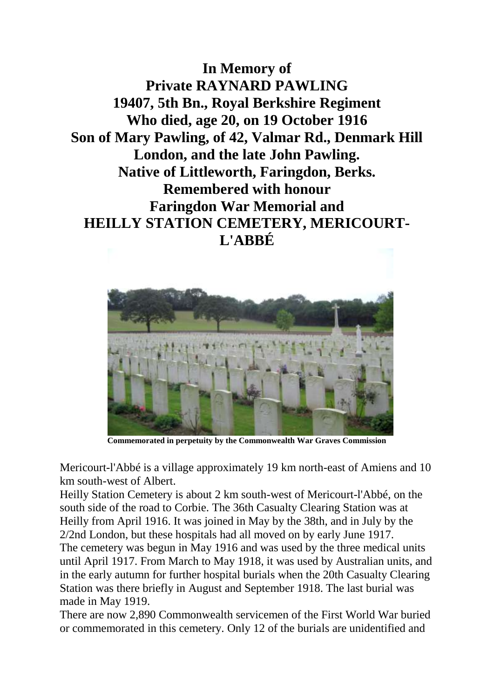**In Memory of Private RAYNARD PAWLING 19407, 5th Bn., Royal Berkshire Regiment Who died, age 20, on 19 October 1916 Son of Mary Pawling, of 42, Valmar Rd., Denmark Hill London, and the late John Pawling. Native of Littleworth, Faringdon, Berks. Remembered with honour Faringdon War Memorial and HEILLY STATION CEMETERY, MERICOURT-L'ABBÉ**



**Commemorated in perpetuity by the Commonwealth War Graves Commission** 

Mericourt-l'Abbé is a village approximately 19 km north-east of Amiens and 10 km south-west of Albert.

Heilly Station Cemetery is about 2 km south-west of Mericourt-l'Abbé, on the south side of the road to Corbie. The 36th Casualty Clearing Station was at Heilly from April 1916. It was joined in May by the 38th, and in July by the 2/2nd London, but these hospitals had all moved on by early June 1917. The cemetery was begun in May 1916 and was used by the three medical units until April 1917. From March to May 1918, it was used by Australian units, and in the early autumn for further hospital burials when the 20th Casualty Clearing Station was there briefly in August and September 1918. The last burial was made in May 1919.

There are now 2,890 Commonwealth servicemen of the First World War buried or commemorated in this cemetery. Only 12 of the burials are unidentified and